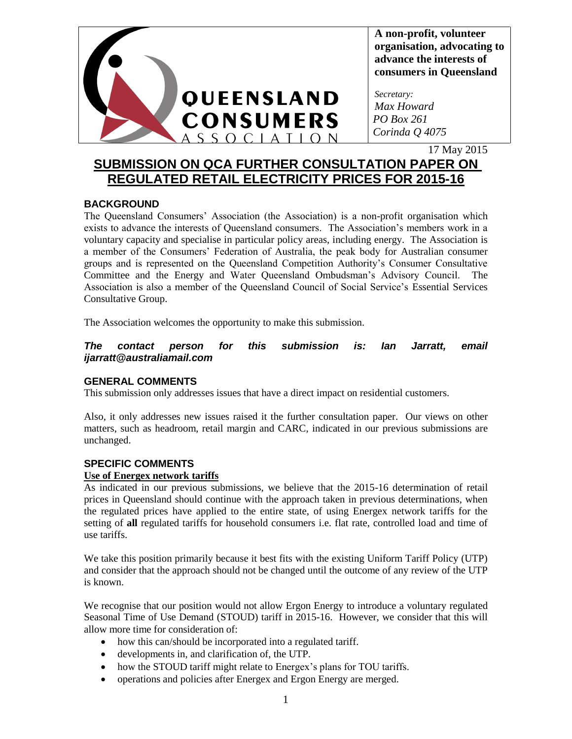

**A non-profit, volunteer organisation, advocating to advance the interests of consumers in Queensland**

*Secretary: Max Howard PO Box 261 Corinda Q 4075*

17 May 2015

# **SUBMISSION ON QCA FURTHER CONSULTATION PAPER ON REGULATED RETAIL ELECTRICITY PRICES FOR 2015-16**

## **BACKGROUND**

The Queensland Consumers' Association (the Association) is a non-profit organisation which exists to advance the interests of Queensland consumers. The Association's members work in a voluntary capacity and specialise in particular policy areas, including energy. The Association is a member of the Consumers' Federation of Australia, the peak body for Australian consumer groups and is represented on the Queensland Competition Authority's Consumer Consultative Committee and the Energy and Water Queensland Ombudsman's Advisory Council. The Association is also a member of the Queensland Council of Social Service's Essential Services Consultative Group.

The Association welcomes the opportunity to make this submission.

*The contact person for this submission is: Ian Jarratt, email ijarratt@australiamail.com*

### **GENERAL COMMENTS**

This submission only addresses issues that have a direct impact on residential customers.

Also, it only addresses new issues raised it the further consultation paper. Our views on other matters, such as headroom, retail margin and CARC, indicated in our previous submissions are unchanged.

### **SPECIFIC COMMENTS**

### **Use of Energex network tariffs**

As indicated in our previous submissions, we believe that the 2015-16 determination of retail prices in Queensland should continue with the approach taken in previous determinations, when the regulated prices have applied to the entire state, of using Energex network tariffs for the setting of **all** regulated tariffs for household consumers i.e. flat rate, controlled load and time of use tariffs.

We take this position primarily because it best fits with the existing Uniform Tariff Policy (UTP) and consider that the approach should not be changed until the outcome of any review of the UTP is known.

We recognise that our position would not allow Ergon Energy to introduce a voluntary regulated Seasonal Time of Use Demand (STOUD) tariff in 2015-16. However, we consider that this will allow more time for consideration of:

- how this can/should be incorporated into a regulated tariff.
- developments in, and clarification of, the UTP.
- how the STOUD tariff might relate to Energex's plans for TOU tariffs.
- operations and policies after Energex and Ergon Energy are merged.